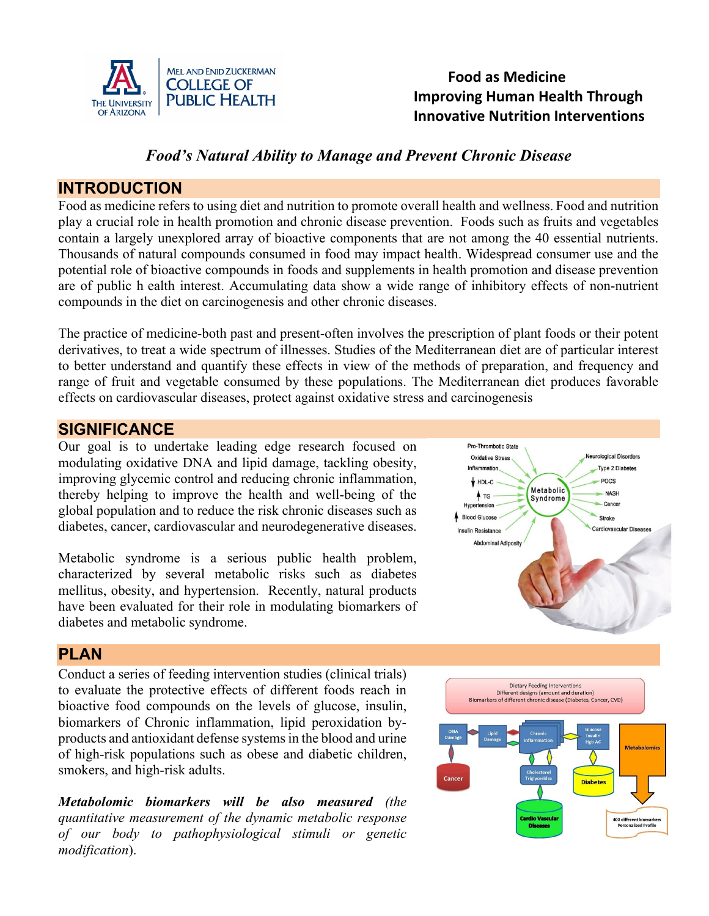

## **Food as Medicine**  THE UNIVERSITY **PUBLIC HEALTH Improving Human Health Through Innovative Nutrition Interventions**

## *Food's Natural Ability to Manage and Prevent Chronic Disease*

#### **INTRODUCTION**

Food as medicine refers to using diet and nutrition to promote overall health and wellness. Food and nutrition play a crucial role in health promotion and chronic disease prevention. Foods such as fruits and vegetables contain a largely unexplored array of bioactive components that are not among the 40 essential nutrients. Thousands of natural compounds consumed in food may impact health. Widespread consumer use and the potential role of bioactive compounds in foods and supplements in health promotion and disease prevention are of public h ealth interest. Accumulating data show a wide range of inhibitory effects of non-nutrient compounds in the diet on carcinogenesis and other chronic diseases.

The practice of medicine-both past and present-often involves the prescription of plant foods or their potent derivatives, to treat a wide spectrum of illnesses. Studies of the Mediterranean diet are of particular interest to better understand and quantify these effects in view of the methods of preparation, and frequency and range of fruit and vegetable consumed by these populations. The Mediterranean diet produces favorable effects on cardiovascular diseases, protect against oxidative stress and carcinogenesis

## **SIGNIFICANCE**

Our goal is to undertake leading edge research focused on modulating oxidative DNA and lipid damage, tackling obesity, improving glycemic control and reducing chronic inflammation, thereby helping to improve the health and well-being of the global population and to reduce the risk chronic diseases such as diabetes, cancer, cardiovascular and neurodegenerative diseases.

Metabolic syndrome is a serious public health problem, characterized by several metabolic risks such as diabetes mellitus, obesity, and hypertension. Recently, natural products have been evaluated for their role in modulating biomarkers of diabetes and metabolic syndrome.



## **PLAN**

Conduct a series of feeding intervention studies (clinical trials) to evaluate the protective effects of different foods reach in bioactive food compounds on the levels of glucose, insulin, biomarkers of Chronic inflammation, lipid peroxidation byproducts and antioxidant defense systems in the blood and urine of high-risk populations such as obese and diabetic children, smokers, and high-risk adults.

*Metabolomic biomarkers will be also measured (the quantitative measurement of the dynamic metabolic response of our body to pathophysiological stimuli or genetic modification*).